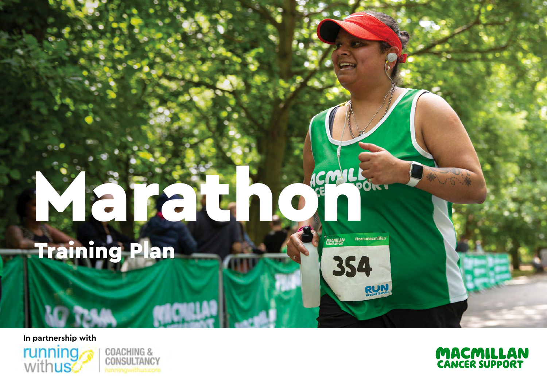## March 10 Charles Training Plan#teammacmittan **MACMILLAN** 354

**In partnership with**







RUN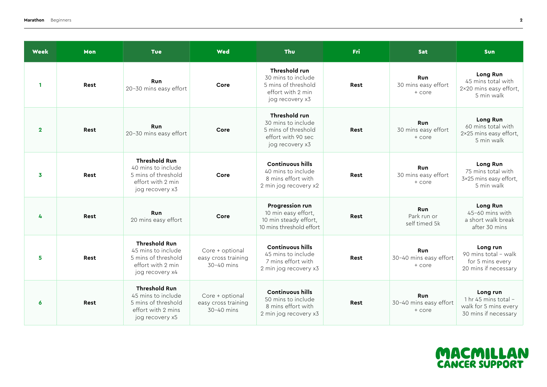| Week             | Mon         | <b>Tue</b>                                                                                                 | Wed                                                    | <b>Thu</b>                                                                                          | Fri         | <b>Sat</b>                                     | <b>Sun</b>                                                                        |
|------------------|-------------|------------------------------------------------------------------------------------------------------------|--------------------------------------------------------|-----------------------------------------------------------------------------------------------------|-------------|------------------------------------------------|-----------------------------------------------------------------------------------|
| $\mathbf{1}$     | Rest        | <b>Run</b><br>20-30 mins easy effort                                                                       | Core                                                   | Threshold run<br>30 mins to include<br>5 mins of threshold<br>effort with 2 min<br>jog recovery x3  | Rest        | <b>Run</b><br>30 mins easy effort<br>+ core    | Long Run<br>45 mins total with<br>$2\times20$ mins easy effort,<br>5 min walk     |
| $\mathbf{2}$     | Rest        | <b>Run</b><br>20-30 mins easy effort                                                                       | Core                                                   | Threshold run<br>30 mins to include<br>5 mins of threshold<br>effort with 90 sec<br>jog recovery x3 | <b>Rest</b> | <b>Run</b><br>30 mins easy effort<br>+ core    | Long Run<br>60 mins total with<br>2×25 mins easy effort,<br>5 min walk            |
| 3                | Rest        | <b>Threshold Run</b><br>40 mins to include<br>5 mins of threshold<br>effort with 2 min<br>jog recovery x3  | Core                                                   | <b>Continuous hills</b><br>40 mins to include<br>8 mins effort with<br>2 min jog recovery x2        | Rest        | <b>Run</b><br>30 mins easy effort<br>+ core    | Long Run<br>75 mins total with<br>3×25 mins easy effort,<br>5 min walk            |
| 4                | <b>Rest</b> | <b>Run</b><br>20 mins easy effort                                                                          | Core                                                   | <b>Progression run</b><br>10 min easy effort,<br>10 min steady effort,<br>10 mins threshold effort  | Rest        | Run<br>Park run or<br>self timed 5k            | Long Run<br>45-60 mins with<br>a short walk break<br>after 30 mins                |
| 5                | Rest        | <b>Threshold Run</b><br>45 mins to include<br>5 mins of threshold<br>effort with 2 min<br>jog recovery x4  | Core + optional<br>easy cross training<br>$30-40$ mins | <b>Continuous hills</b><br>45 mins to include<br>7 mins effort with<br>2 min jog recovery x3        | Rest        | <b>Run</b><br>30-40 mins easy effort<br>+ core | Long run<br>90 mins total - walk<br>for 5 mins every<br>20 mins if necessary      |
| $\boldsymbol{6}$ | Rest        | <b>Threshold Run</b><br>45 mins to include<br>5 mins of threshold<br>effort with 2 mins<br>jog recovery x5 | Core + optional<br>easy cross training<br>$30-40$ mins | <b>Continuous hills</b><br>50 mins to include<br>8 mins effort with<br>2 min jog recovery x3        | Rest        | <b>Run</b><br>30-40 mins easy effort<br>+ core | Long run<br>1 hr 45 mins total -<br>walk for 5 mins every<br>30 mins if necessary |

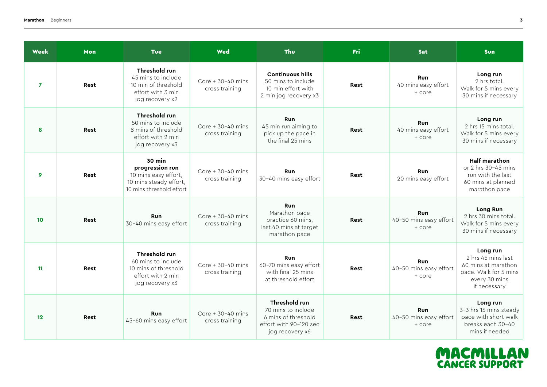| <b>Week</b>    | Mon  | <b>Tue</b>                                                                                                     | Wed                                     | <b>Thu</b>                                                                                              | <b>Fri</b>  | <b>Sat</b>                                     | <b>Sun</b>                                                                                                      |
|----------------|------|----------------------------------------------------------------------------------------------------------------|-----------------------------------------|---------------------------------------------------------------------------------------------------------|-------------|------------------------------------------------|-----------------------------------------------------------------------------------------------------------------|
| $\overline{7}$ | Rest | Threshold run<br>45 mins to include<br>10 min of threshold<br>effort with 3 min<br>jog recovery x2             | Core $+30-40$ mins<br>cross training    | <b>Continuous hills</b><br>50 mins to include<br>10 min effort with<br>2 min jog recovery x3            | Rest        | Run<br>40 mins easy effort<br>$+$ core         | Long run<br>2 hrs total.<br>Walk for 5 mins every<br>30 mins if necessary                                       |
| 8              | Rest | Threshold run<br>50 mins to include<br>8 mins of threshold<br>effort with 2 min<br>jog recovery x3             | Core $+30-40$ mins<br>cross training    | <b>Run</b><br>45 min run aiming to<br>pick up the pace in<br>the final 25 mins                          | <b>Rest</b> | <b>Run</b><br>40 mins easy effort<br>+ core    | Long run<br>2 hrs 15 mins total.<br>Walk for 5 mins every<br>30 mins if necessary                               |
| 9              | Rest | <b>30 min</b><br>progression run<br>10 mins easy effort,<br>10 mins steady effort,<br>10 mins threshold effort | Core $+30-40$ mins<br>cross training    | <b>Run</b><br>30-40 mins easy effort                                                                    | Rest        | <b>Run</b><br>20 mins easy effort              | <b>Half marathon</b><br>or 2 hrs 30-45 mins<br>run with the last<br>60 mins at planned<br>marathon pace         |
| 10             | Rest | <b>Run</b><br>30-40 mins easy effort                                                                           | Core $+ 30 - 40$ mins<br>cross training | <b>Run</b><br>Marathon pace<br>practice 60 mins,<br>last 40 mins at target<br>marathon pace             | Rest        | <b>Run</b><br>40-50 mins easy effort<br>+ core | Long Run<br>2 hrs 30 mins total.<br>Walk for 5 mins every<br>30 mins if necessary                               |
| 11             | Rest | Threshold run<br>60 mins to include<br>10 mins of threshold<br>effort with 2 min<br>jog recovery x3            | Core $+30-40$ mins<br>cross training    | <b>Run</b><br>60-70 mins easy effort<br>with final 25 mins<br>at threshold effort                       | Rest        | <b>Run</b><br>40-50 mins easy effort<br>+ core | Long run<br>2 hrs 45 mins last<br>60 mins at marathon<br>pace. Walk for 5 mins<br>every 30 mins<br>if necessary |
| 12             | Rest | <b>Run</b><br>45-60 mins easy effort                                                                           | Core $+30-40$ mins<br>cross training    | Threshold run<br>70 mins to include<br>6 mins of threshold<br>effort with 90-120 sec<br>jog recovery x6 | Rest        | <b>Run</b><br>40-50 mins easy effort<br>+ core | Long run<br>3-3 hrs 15 mins steady<br>pace with short walk<br>breaks each 30-40<br>mins if needed               |